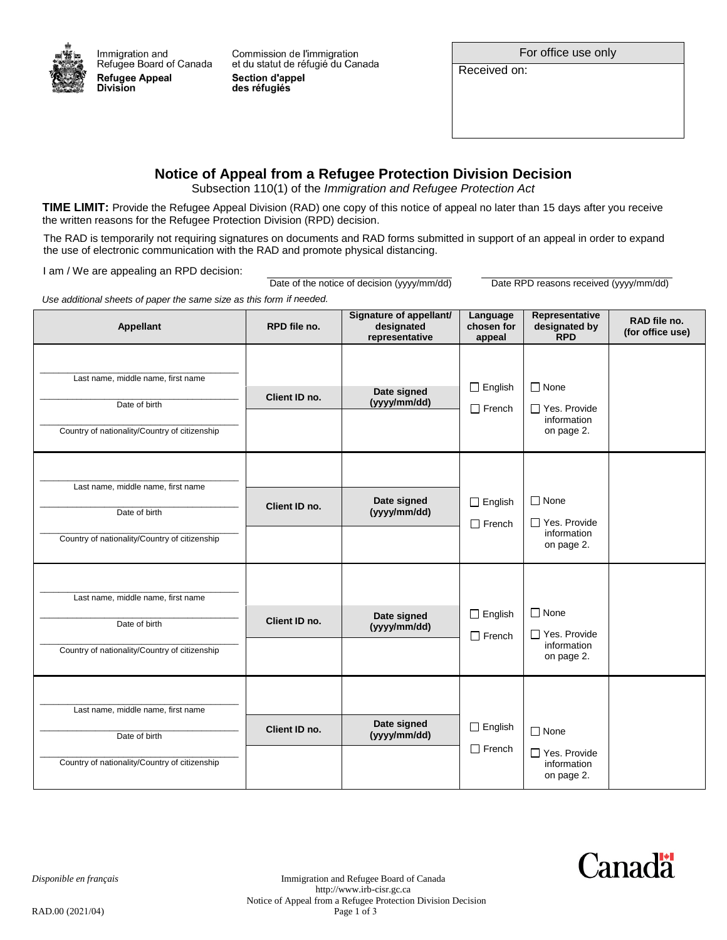

Commission de l'immigration et du statut de réfugié du Canada **Section d'appel** des réfugiés

For office use only

Received on:

## **Notice of Appeal from a Refugee Protection Division Decision**

Subsection 110(1) of the *Immigration and Refugee Protection Act*

the written reasons for the Refugee Protection Division (RPD) decision. **TIME LIMIT:** Provide the Refugee Appeal Division (RAD) one copy of this notice of appeal no later than 15 days after you receive

The RAD is temporarily not requiring signatures on documents and RAD forms submitted in support of an appeal in order to expand the use of electronic communication with the RAD and promote physical distancing.

I am / We are appealing an RPD decision:

Date of the notice of decision (yyyy/mm/dd)

Date RPD reasons received (yyyy/mm/dd)

Use additional sheets of paper the same size as this form if needed.

| <b>Appellant</b>                                                                                     | RPD file no.  | Signature of appellant/<br>designated<br>representative | Language<br>chosen for<br>appeal | Representative<br>designated by<br><b>RPD</b>                   | RAD file no.<br>(for office use) |
|------------------------------------------------------------------------------------------------------|---------------|---------------------------------------------------------|----------------------------------|-----------------------------------------------------------------|----------------------------------|
| Last name, middle name, first name<br>Date of birth<br>Country of nationality/Country of citizenship | Client ID no. | Date signed<br>(yyyy/mm/dd)                             | $\Box$ English<br>$\Box$ French  | $\Box$ None<br>$\Box$ Yes. Provide<br>information<br>on page 2. |                                  |
| Last name, middle name, first name<br>Date of birth<br>Country of nationality/Country of citizenship | Client ID no. | Date signed<br>(yyyy/mm/dd)                             | $\Box$ English<br>$\Box$ French  | $\Box$ None<br>$\Box$ Yes. Provide<br>information<br>on page 2. |                                  |
| Last name, middle name, first name<br>Date of birth<br>Country of nationality/Country of citizenship | Client ID no. | Date signed<br>(yyyy/mm/dd)                             | $\Box$ English<br>$\Box$ French  | $\Box$ None<br>□ Yes. Provide<br>information<br>on page 2.      |                                  |
| Last name, middle name, first name<br>Date of birth<br>Country of nationality/Country of citizenship | Client ID no. | Date signed<br>(yyyy/mm/dd)                             | $\Box$ English<br>$\Box$ French  | $\Box$ None<br>□ Yes. Provide<br>information<br>on page 2.      |                                  |

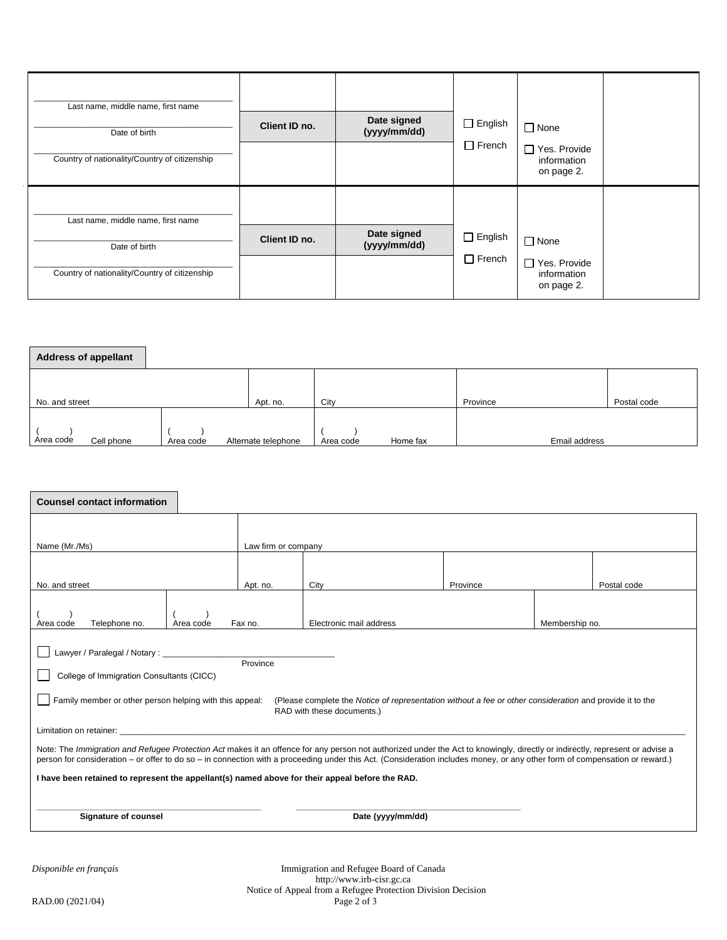| Last name, middle name, first name<br>Date of birth<br>Country of nationality/Country of citizenship | Client ID no. | Date signed<br>(yyyy/mm/dd) | $\Box$ English<br>$\Box$ French | $\Box$ None<br>□ Yes. Provide<br>information<br>on page 2. |  |
|------------------------------------------------------------------------------------------------------|---------------|-----------------------------|---------------------------------|------------------------------------------------------------|--|
| Last name, middle name, first name<br>Date of birth<br>Country of nationality/Country of citizenship | Client ID no. | Date signed<br>(yyyy/mm/dd) | $\Box$ English<br>$\Box$ French | $\Box$ None<br>□ Yes. Provide<br>information<br>on page 2. |  |

| <b>Address of appellant</b> |           |                     |                       |               |             |  |
|-----------------------------|-----------|---------------------|-----------------------|---------------|-------------|--|
|                             |           |                     |                       |               |             |  |
| No. and street              |           | Apt. no.            | City                  | Province      | Postal code |  |
| Area code<br>Cell phone     | Area code | Alternate telephone | Home fax<br>Area code | Email address |             |  |

| <b>Counsel contact information</b>                                                                                                                                                                                                                                                                                                                                                     |                                                                               |                     |                                         |          |  |             |  |  |
|----------------------------------------------------------------------------------------------------------------------------------------------------------------------------------------------------------------------------------------------------------------------------------------------------------------------------------------------------------------------------------------|-------------------------------------------------------------------------------|---------------------|-----------------------------------------|----------|--|-------------|--|--|
| Name (Mr./Ms)                                                                                                                                                                                                                                                                                                                                                                          |                                                                               | Law firm or company |                                         |          |  |             |  |  |
| No. and street                                                                                                                                                                                                                                                                                                                                                                         |                                                                               |                     | City                                    | Province |  | Postal code |  |  |
| Telephone no.<br>Area code                                                                                                                                                                                                                                                                                                                                                             | Apt. no.<br>Fax no.<br>Electronic mail address<br>Membership no.<br>Area code |                     |                                         |          |  |             |  |  |
| Lawyer / Paralegal / Notary : ___________<br>Province<br>College of Immigration Consultants (CICC)<br>Family member or other person helping with this appeal:<br>(Please complete the Notice of representation without a fee or other consideration and provide it to the<br>RAD with these documents.)                                                                                |                                                                               |                     |                                         |          |  |             |  |  |
| Limitation on retainer:<br>Note: The Immigration and Refugee Protection Act makes it an offence for any person not authorized under the Act to knowingly, directly or indirectly, represent or advise a<br>person for consideration - or offer to do so - in connection with a proceeding under this Act. (Consideration includes money, or any other form of compensation or reward.) |                                                                               |                     |                                         |          |  |             |  |  |
| I have been retained to represent the appellant(s) named above for their appeal before the RAD.                                                                                                                                                                                                                                                                                        |                                                                               |                     |                                         |          |  |             |  |  |
| Signature of counsel<br>Date (yyyy/mm/dd)                                                                                                                                                                                                                                                                                                                                              |                                                                               |                     |                                         |          |  |             |  |  |
| Disponible en français                                                                                                                                                                                                                                                                                                                                                                 |                                                                               |                     | Immigration and Refugee Board of Canada |          |  |             |  |  |

http://www.irb-cisr.gc.ca Notice of Appeal from a Refugee Protection Division Decision RAD.00 (2021/04) Page 2 of 3